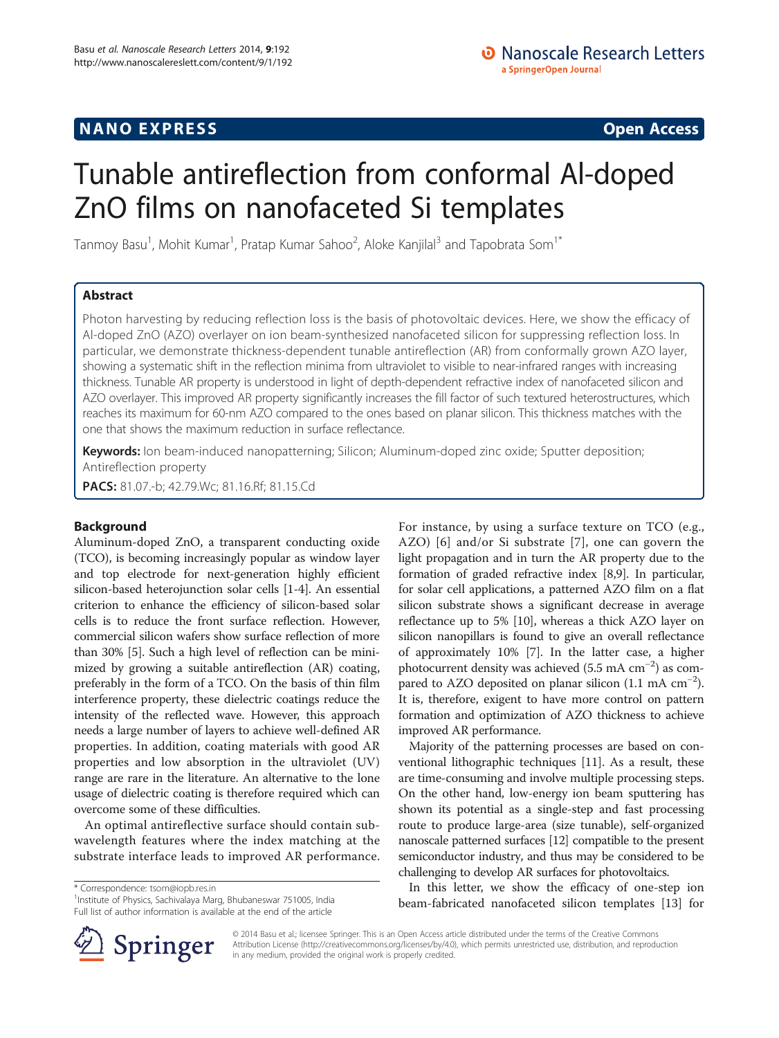## **NANO EXPRESS** Open Access **CONTROL**

# Tunable antireflection from conformal Al-doped ZnO films on nanofaceted Si templates

Tanmoy Basu<sup>1</sup>, Mohit Kumar<sup>1</sup>, Pratap Kumar Sahoo<sup>2</sup>, Aloke Kanjilal<sup>3</sup> and Tapobrata Som<sup>1\*</sup>

## Abstract

Photon harvesting by reducing reflection loss is the basis of photovoltaic devices. Here, we show the efficacy of Al-doped ZnO (AZO) overlayer on ion beam-synthesized nanofaceted silicon for suppressing reflection loss. In particular, we demonstrate thickness-dependent tunable antireflection (AR) from conformally grown AZO layer, showing a systematic shift in the reflection minima from ultraviolet to visible to near-infrared ranges with increasing thickness. Tunable AR property is understood in light of depth-dependent refractive index of nanofaceted silicon and AZO overlayer. This improved AR property significantly increases the fill factor of such textured heterostructures, which reaches its maximum for 60-nm AZO compared to the ones based on planar silicon. This thickness matches with the one that shows the maximum reduction in surface reflectance.

Keywords: Ion beam-induced nanopatterning; Silicon; Aluminum-doped zinc oxide; Sputter deposition; Antireflection property

PACS: 81.07.-b; 42.79.Wc; 81.16.Rf; 81.15.Cd

## Background

Aluminum-doped ZnO, a transparent conducting oxide (TCO), is becoming increasingly popular as window layer and top electrode for next-generation highly efficient silicon-based heterojunction solar cells [[1-4\]](#page-5-0). An essential criterion to enhance the efficiency of silicon-based solar cells is to reduce the front surface reflection. However, commercial silicon wafers show surface reflection of more than 30% [[5\]](#page-5-0). Such a high level of reflection can be minimized by growing a suitable antireflection (AR) coating, preferably in the form of a TCO. On the basis of thin film interference property, these dielectric coatings reduce the intensity of the reflected wave. However, this approach needs a large number of layers to achieve well-defined AR properties. In addition, coating materials with good AR properties and low absorption in the ultraviolet (UV) range are rare in the literature. An alternative to the lone usage of dielectric coating is therefore required which can overcome some of these difficulties.

An optimal antireflective surface should contain subwavelength features where the index matching at the substrate interface leads to improved AR performance.

\* Correspondence: [tsom@iopb.res.in](mailto:tsom@iopb.res.in) <sup>1</sup>

<sup>1</sup>Institute of Physics, Sachivalaya Marg, Bhubaneswar 751005, India Full list of author information is available at the end of the article

For instance, by using a surface texture on TCO (e.g., AZO) [[6\]](#page-6-0) and/or Si substrate [\[7](#page-6-0)], one can govern the light propagation and in turn the AR property due to the formation of graded refractive index [\[8,9](#page-6-0)]. In particular, for solar cell applications, a patterned AZO film on a flat silicon substrate shows a significant decrease in average reflectance up to 5% [[10](#page-6-0)], whereas a thick AZO layer on silicon nanopillars is found to give an overall reflectance of approximately 10% [\[7](#page-6-0)]. In the latter case, a higher photocurrent density was achieved (5.5 mA cm−<sup>2</sup> ) as compared to AZO deposited on planar silicon (1.1 mA cm<sup>-2</sup>). It is, therefore, exigent to have more control on pattern formation and optimization of AZO thickness to achieve improved AR performance.

Majority of the patterning processes are based on conventional lithographic techniques [[11](#page-6-0)]. As a result, these are time-consuming and involve multiple processing steps. On the other hand, low-energy ion beam sputtering has shown its potential as a single-step and fast processing route to produce large-area (size tunable), self-organized nanoscale patterned surfaces [[12](#page-6-0)] compatible to the present semiconductor industry, and thus may be considered to be challenging to develop AR surfaces for photovoltaics.

In this letter, we show the efficacy of one-step ion beam-fabricated nanofaceted silicon templates [[13\]](#page-6-0) for



© 2014 Basu et al.; licensee Springer. This is an Open Access article distributed under the terms of the Creative Commons Attribution License [\(http://creativecommons.org/licenses/by/4.0\)](http://creativecommons.org/licenses/by/4.0), which permits unrestricted use, distribution, and reproduction in any medium, provided the original work is properly credited.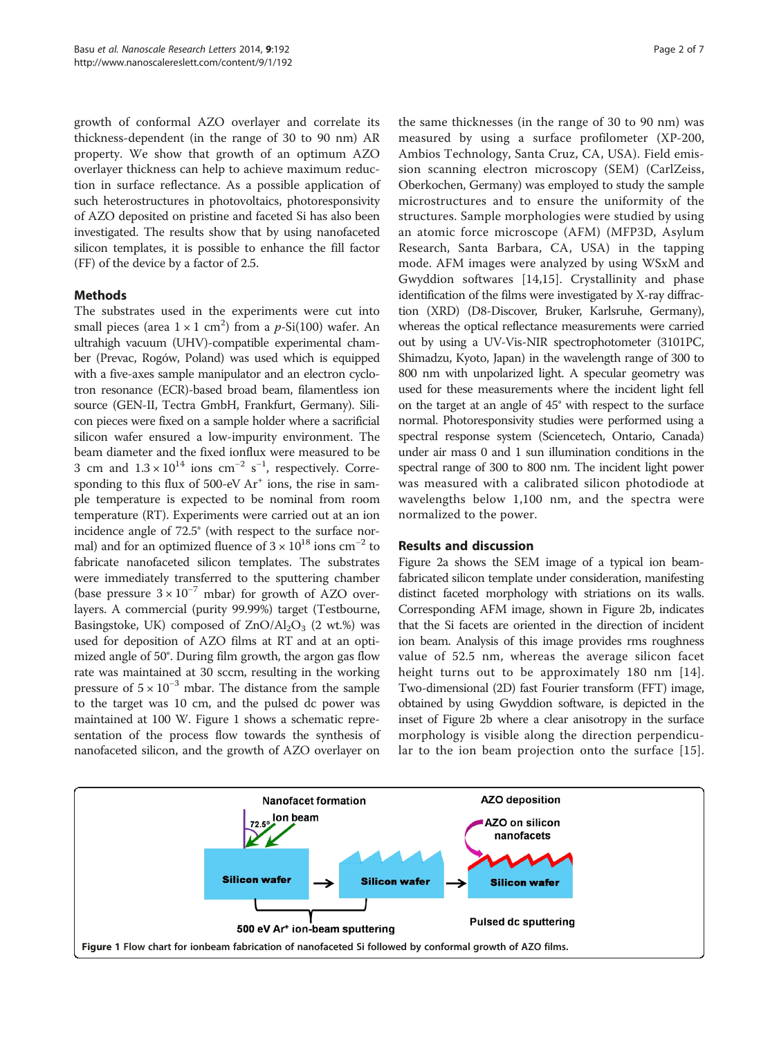growth of conformal AZO overlayer and correlate its thickness-dependent (in the range of 30 to 90 nm) AR property. We show that growth of an optimum AZO overlayer thickness can help to achieve maximum reduction in surface reflectance. As a possible application of such heterostructures in photovoltaics, photoresponsivity of AZO deposited on pristine and faceted Si has also been investigated. The results show that by using nanofaceted silicon templates, it is possible to enhance the fill factor (FF) of the device by a factor of 2.5.

## Methods

The substrates used in the experiments were cut into small pieces (area  $1 \times 1$  cm<sup>2</sup>) from a p-Si(100) wafer. An ultrahigh vacuum (UHV)-compatible experimental chamber (Prevac, Rogów, Poland) was used which is equipped with a five-axes sample manipulator and an electron cyclotron resonance (ECR)-based broad beam, filamentless ion source (GEN-II, Tectra GmbH, Frankfurt, Germany). Silicon pieces were fixed on a sample holder where a sacrificial silicon wafer ensured a low-impurity environment. The beam diameter and the fixed ionflux were measured to be 3 cm and  $1.3 \times 10^{14}$  ions cm<sup>-2</sup> s<sup>-1</sup>, respectively. Corresponding to this flux of  $500$ -eV  $Ar^+$  ions, the rise in sample temperature is expected to be nominal from room temperature (RT). Experiments were carried out at an ion incidence angle of 72.5° (with respect to the surface normal) and for an optimized fluence of  $3\times10^{18}$  ions  $\rm cm^{-2}$  to fabricate nanofaceted silicon templates. The substrates were immediately transferred to the sputtering chamber (base pressure  $3 \times 10^{-7}$  mbar) for growth of AZO overlayers. A commercial (purity 99.99%) target (Testbourne, Basingstoke, UK) composed of  $ZnO/Al_2O_3$  (2 wt.%) was used for deposition of AZO films at RT and at an optimized angle of 50°. During film growth, the argon gas flow rate was maintained at 30 sccm, resulting in the working pressure of  $5 \times 10^{-3}$  mbar. The distance from the sample to the target was 10 cm, and the pulsed dc power was maintained at 100 W. Figure 1 shows a schematic representation of the process flow towards the synthesis of nanofaceted silicon, and the growth of AZO overlayer on

the same thicknesses (in the range of 30 to 90 nm) was measured by using a surface profilometer (XP-200, Ambios Technology, Santa Cruz, CA, USA). Field emission scanning electron microscopy (SEM) (CarlZeiss, Oberkochen, Germany) was employed to study the sample microstructures and to ensure the uniformity of the structures. Sample morphologies were studied by using an atomic force microscope (AFM) (MFP3D, Asylum Research, Santa Barbara, CA, USA) in the tapping mode. AFM images were analyzed by using WSxM and Gwyddion softwares [\[14](#page-6-0),[15\]](#page-6-0). Crystallinity and phase identification of the films were investigated by X-ray diffraction (XRD) (D8-Discover, Bruker, Karlsruhe, Germany), whereas the optical reflectance measurements were carried out by using a UV-Vis-NIR spectrophotometer (3101PC, Shimadzu, Kyoto, Japan) in the wavelength range of 300 to 800 nm with unpolarized light. A specular geometry was used for these measurements where the incident light fell on the target at an angle of 45° with respect to the surface normal. Photoresponsivity studies were performed using a spectral response system (Sciencetech, Ontario, Canada) under air mass 0 and 1 sun illumination conditions in the spectral range of 300 to 800 nm. The incident light power was measured with a calibrated silicon photodiode at wavelengths below 1,100 nm, and the spectra were normalized to the power.

#### Results and discussion

Figure [2a](#page-2-0) shows the SEM image of a typical ion beamfabricated silicon template under consideration, manifesting distinct faceted morphology with striations on its walls. Corresponding AFM image, shown in Figure [2b](#page-2-0), indicates that the Si facets are oriented in the direction of incident ion beam. Analysis of this image provides rms roughness value of 52.5 nm, whereas the average silicon facet height turns out to be approximately 180 nm [[14](#page-6-0)]. Two-dimensional (2D) fast Fourier transform (FFT) image, obtained by using Gwyddion software, is depicted in the inset of Figure [2b](#page-2-0) where a clear anisotropy in the surface morphology is visible along the direction perpendicular to the ion beam projection onto the surface [[15](#page-6-0)].

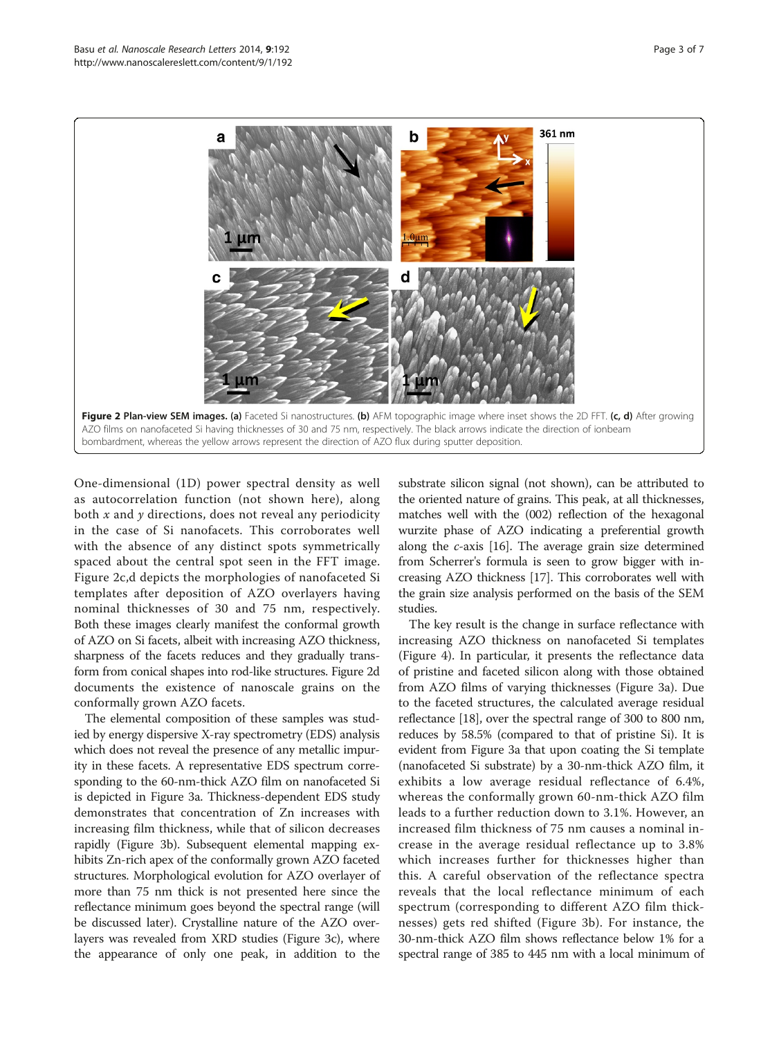<span id="page-2-0"></span>

One-dimensional (1D) power spectral density as well as autocorrelation function (not shown here), along both  $x$  and  $y$  directions, does not reveal any periodicity in the case of Si nanofacets. This corroborates well with the absence of any distinct spots symmetrically spaced about the central spot seen in the FFT image. Figure 2c,d depicts the morphologies of nanofaceted Si templates after deposition of AZO overlayers having nominal thicknesses of 30 and 75 nm, respectively. Both these images clearly manifest the conformal growth of AZO on Si facets, albeit with increasing AZO thickness, sharpness of the facets reduces and they gradually transform from conical shapes into rod-like structures. Figure 2d documents the existence of nanoscale grains on the conformally grown AZO facets.

The elemental composition of these samples was studied by energy dispersive X-ray spectrometry (EDS) analysis which does not reveal the presence of any metallic impurity in these facets. A representative EDS spectrum corresponding to the 60-nm-thick AZO film on nanofaceted Si is depicted in Figure [3a](#page-3-0). Thickness-dependent EDS study demonstrates that concentration of Zn increases with increasing film thickness, while that of silicon decreases rapidly (Figure [3](#page-3-0)b). Subsequent elemental mapping exhibits Zn-rich apex of the conformally grown AZO faceted structures. Morphological evolution for AZO overlayer of more than 75 nm thick is not presented here since the reflectance minimum goes beyond the spectral range (will be discussed later). Crystalline nature of the AZO overlayers was revealed from XRD studies (Figure [3](#page-3-0)c), where the appearance of only one peak, in addition to the substrate silicon signal (not shown), can be attributed to the oriented nature of grains. This peak, at all thicknesses, matches well with the (002) reflection of the hexagonal wurzite phase of AZO indicating a preferential growth along the c-axis [\[16\]](#page-6-0). The average grain size determined from Scherrer's formula is seen to grow bigger with increasing AZO thickness [\[17\]](#page-6-0). This corroborates well with the grain size analysis performed on the basis of the SEM studies.

The key result is the change in surface reflectance with increasing AZO thickness on nanofaceted Si templates (Figure [4](#page-3-0)). In particular, it presents the reflectance data of pristine and faceted silicon along with those obtained from AZO films of varying thicknesses (Figure [3](#page-3-0)a). Due to the faceted structures, the calculated average residual reflectance [\[18\]](#page-6-0), over the spectral range of 300 to 800 nm, reduces by 58.5% (compared to that of pristine Si). It is evident from Figure [3a](#page-3-0) that upon coating the Si template (nanofaceted Si substrate) by a 30-nm-thick AZO film, it exhibits a low average residual reflectance of 6.4%, whereas the conformally grown 60-nm-thick AZO film leads to a further reduction down to 3.1%. However, an increased film thickness of 75 nm causes a nominal increase in the average residual reflectance up to 3.8% which increases further for thicknesses higher than this. A careful observation of the reflectance spectra reveals that the local reflectance minimum of each spectrum (corresponding to different AZO film thicknesses) gets red shifted (Figure [3](#page-3-0)b). For instance, the 30-nm-thick AZO film shows reflectance below 1% for a spectral range of 385 to 445 nm with a local minimum of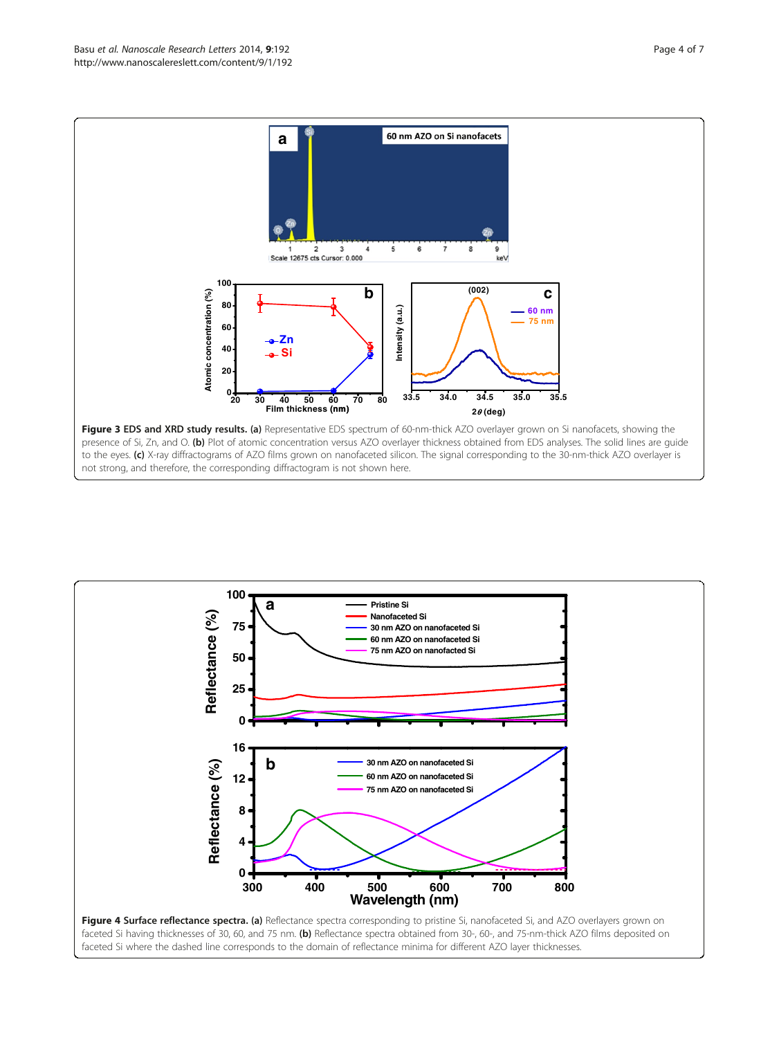<span id="page-3-0"></span>

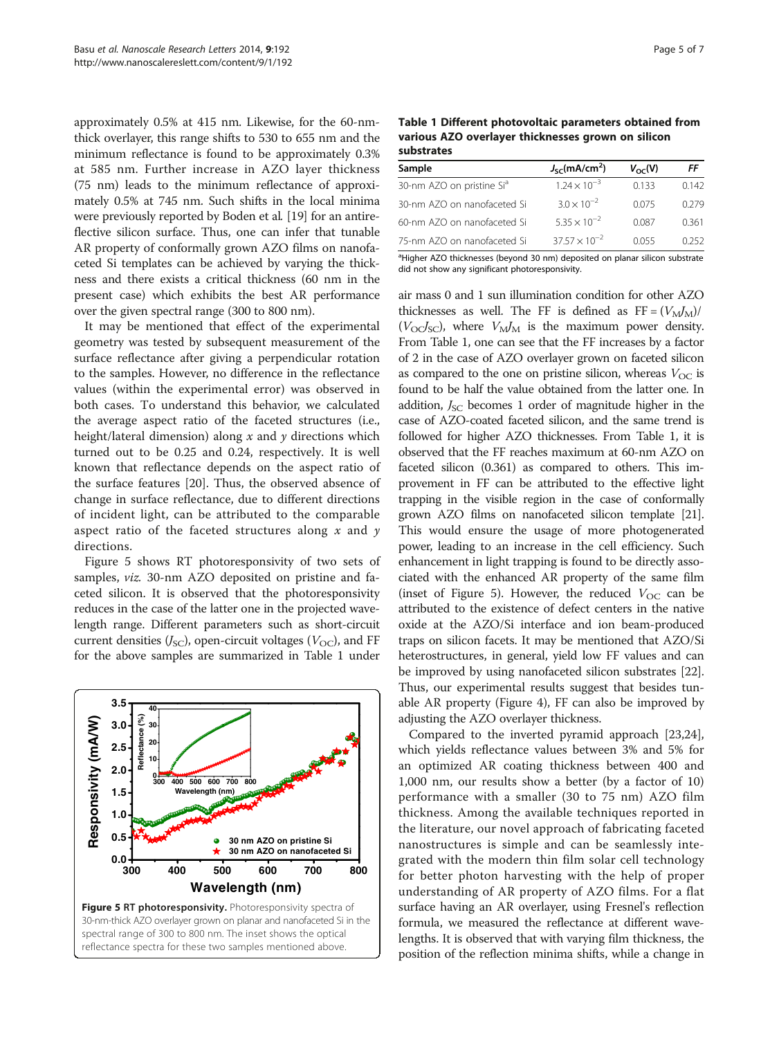approximately 0.5% at 415 nm. Likewise, for the 60-nmthick overlayer, this range shifts to 530 to 655 nm and the minimum reflectance is found to be approximately 0.3% at 585 nm. Further increase in AZO layer thickness (75 nm) leads to the minimum reflectance of approximately 0.5% at 745 nm. Such shifts in the local minima were previously reported by Boden et al. [[19](#page-6-0)] for an antireflective silicon surface. Thus, one can infer that tunable AR property of conformally grown AZO films on nanofaceted Si templates can be achieved by varying the thickness and there exists a critical thickness (60 nm in the present case) which exhibits the best AR performance over the given spectral range (300 to 800 nm).

It may be mentioned that effect of the experimental geometry was tested by subsequent measurement of the surface reflectance after giving a perpendicular rotation to the samples. However, no difference in the reflectance values (within the experimental error) was observed in both cases. To understand this behavior, we calculated the average aspect ratio of the faceted structures (i.e., height/lateral dimension) along  $x$  and  $y$  directions which turned out to be 0.25 and 0.24, respectively. It is well known that reflectance depends on the aspect ratio of the surface features [[20](#page-6-0)]. Thus, the observed absence of change in surface reflectance, due to different directions of incident light, can be attributed to the comparable aspect ratio of the faceted structures along  $x$  and  $y$ directions.

Figure 5 shows RT photoresponsivity of two sets of samples, viz. 30-nm AZO deposited on pristine and faceted silicon. It is observed that the photoresponsivity reduces in the case of the latter one in the projected wavelength range. Different parameters such as short-circuit current densities  $(J_{\rm SC})$ , open-circuit voltages ( $V_{\rm OC}$ ), and FF for the above samples are summarized in Table 1 under



Table 1 Different photovoltaic parameters obtained from various AZO overlayer thicknesses grown on silicon substrates

| Sample                                | $J_{SC}$ (mA/cm <sup>2</sup> ) | $V_{\Omega C}(V)$ | FF    |  |
|---------------------------------------|--------------------------------|-------------------|-------|--|
| 30-nm AZO on pristine Si <sup>a</sup> | $1.24 \times 10^{-3}$          | 0.133             | 0.142 |  |
| 30-nm AZO on nanofaceted Si           | $3.0 \times 10^{-2}$           | 0.075             | 0.279 |  |
| 60-nm AZO on nanofaceted Si           | $5.35 \times 10^{-2}$          | 0.087             | 0.361 |  |
| 75-nm AZO on nanofaceted Si           | $37.57 \times 10^{-2}$         | 0.055             | 0252  |  |

<sup>a</sup>Higher AZO thicknesses (beyond 30 nm) deposited on planar silicon substrate did not show any significant photoresponsivity.

air mass 0 and 1 sun illumination condition for other AZO thicknesses as well. The FF is defined as  $FF = (V_M J_M)$  $(V<sub>OC</sub>J<sub>SC</sub>)$ , where  $V<sub>M</sub>J<sub>M</sub>$  is the maximum power density. From Table 1, one can see that the FF increases by a factor of 2 in the case of AZO overlayer grown on faceted silicon as compared to the one on pristine silicon, whereas  $V_{OC}$  is found to be half the value obtained from the latter one. In addition,  $J_{SC}$  becomes 1 order of magnitude higher in the case of AZO-coated faceted silicon, and the same trend is followed for higher AZO thicknesses. From Table 1, it is observed that the FF reaches maximum at 60-nm AZO on faceted silicon (0.361) as compared to others. This improvement in FF can be attributed to the effective light trapping in the visible region in the case of conformally grown AZO films on nanofaceted silicon template [\[21](#page-6-0)]. This would ensure the usage of more photogenerated power, leading to an increase in the cell efficiency. Such enhancement in light trapping is found to be directly associated with the enhanced AR property of the same film (inset of Figure 5). However, the reduced  $V_{\text{OC}}$  can be attributed to the existence of defect centers in the native oxide at the AZO/Si interface and ion beam-produced traps on silicon facets. It may be mentioned that AZO/Si heterostructures, in general, yield low FF values and can be improved by using nanofaceted silicon substrates [[22](#page-6-0)]. Thus, our experimental results suggest that besides tunable AR property (Figure [4\)](#page-3-0), FF can also be improved by adjusting the AZO overlayer thickness.

Compared to the inverted pyramid approach [\[23,24](#page-6-0)], which yields reflectance values between 3% and 5% for an optimized AR coating thickness between 400 and 1,000 nm, our results show a better (by a factor of 10) performance with a smaller (30 to 75 nm) AZO film thickness. Among the available techniques reported in the literature, our novel approach of fabricating faceted nanostructures is simple and can be seamlessly integrated with the modern thin film solar cell technology for better photon harvesting with the help of proper understanding of AR property of AZO films. For a flat surface having an AR overlayer, using Fresnel's reflection formula, we measured the reflectance at different wavelengths. It is observed that with varying film thickness, the position of the reflection minima shifts, while a change in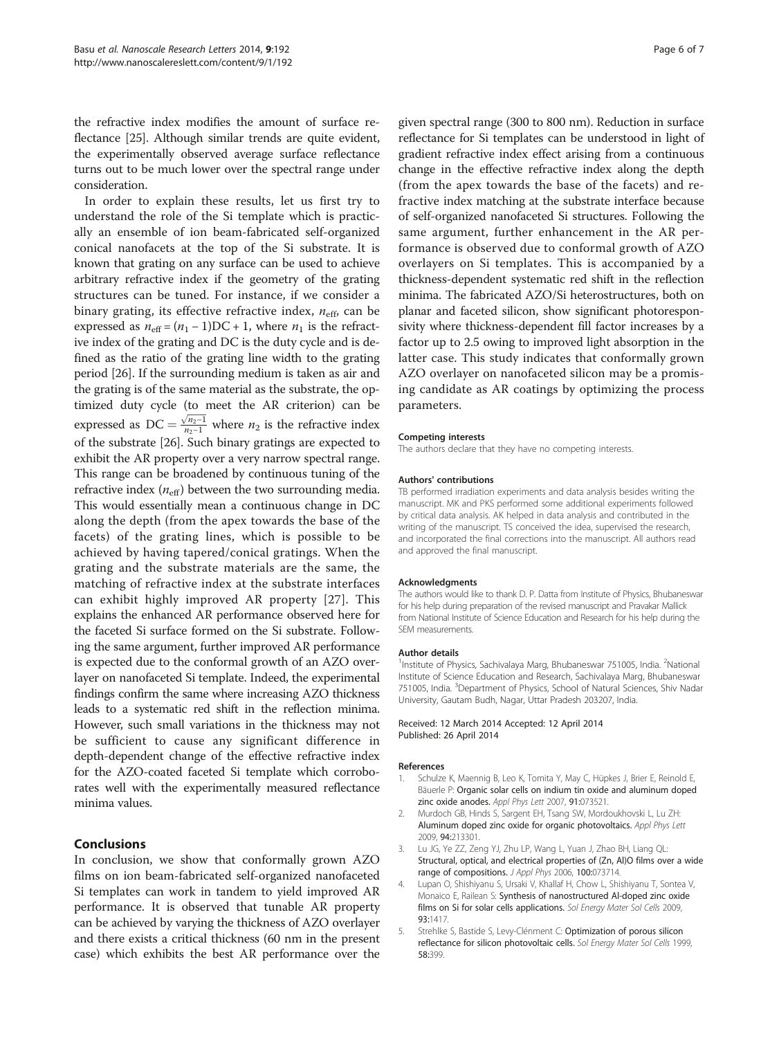<span id="page-5-0"></span>the refractive index modifies the amount of surface reflectance [[25\]](#page-6-0). Although similar trends are quite evident, the experimentally observed average surface reflectance turns out to be much lower over the spectral range under consideration.

In order to explain these results, let us first try to understand the role of the Si template which is practically an ensemble of ion beam-fabricated self-organized conical nanofacets at the top of the Si substrate. It is known that grating on any surface can be used to achieve arbitrary refractive index if the geometry of the grating structures can be tuned. For instance, if we consider a binary grating, its effective refractive index,  $n_{\text{eff}}$ , can be expressed as  $n_{\text{eff}} = (n_1 - 1)DC + 1$ , where  $n_1$  is the refractive index of the grating and DC is the duty cycle and is defined as the ratio of the grating line width to the grating period [\[26\]](#page-6-0). If the surrounding medium is taken as air and the grating is of the same material as the substrate, the optimized duty cycle (to meet the AR criterion) can be timized duty cycle (to meet the AK criterion) can be<br>expressed as  $DC = \frac{\sqrt{n_2-1}}{n_2-1}$  where  $n_2$  is the refractive index of the substrate [\[26](#page-6-0)]. Such binary gratings are expected to exhibit the AR property over a very narrow spectral range. This range can be broadened by continuous tuning of the refractive index  $(n_{\text{eff}})$  between the two surrounding media. This would essentially mean a continuous change in DC along the depth (from the apex towards the base of the facets) of the grating lines, which is possible to be achieved by having tapered/conical gratings. When the grating and the substrate materials are the same, the matching of refractive index at the substrate interfaces can exhibit highly improved AR property [[27](#page-6-0)]. This explains the enhanced AR performance observed here for the faceted Si surface formed on the Si substrate. Following the same argument, further improved AR performance is expected due to the conformal growth of an AZO overlayer on nanofaceted Si template. Indeed, the experimental findings confirm the same where increasing AZO thickness leads to a systematic red shift in the reflection minima. However, such small variations in the thickness may not be sufficient to cause any significant difference in depth-dependent change of the effective refractive index for the AZO-coated faceted Si template which corroborates well with the experimentally measured reflectance minima values.

### Conclusions

In conclusion, we show that conformally grown AZO films on ion beam-fabricated self-organized nanofaceted Si templates can work in tandem to yield improved AR performance. It is observed that tunable AR property can be achieved by varying the thickness of AZO overlayer and there exists a critical thickness (60 nm in the present case) which exhibits the best AR performance over the

given spectral range (300 to 800 nm). Reduction in surface reflectance for Si templates can be understood in light of gradient refractive index effect arising from a continuous change in the effective refractive index along the depth (from the apex towards the base of the facets) and refractive index matching at the substrate interface because of self-organized nanofaceted Si structures. Following the same argument, further enhancement in the AR performance is observed due to conformal growth of AZO overlayers on Si templates. This is accompanied by a thickness-dependent systematic red shift in the reflection minima. The fabricated AZO/Si heterostructures, both on planar and faceted silicon, show significant photoresponsivity where thickness-dependent fill factor increases by a factor up to 2.5 owing to improved light absorption in the latter case. This study indicates that conformally grown AZO overlayer on nanofaceted silicon may be a promising candidate as AR coatings by optimizing the process parameters.

#### Competing interests

The authors declare that they have no competing interests.

#### Authors' contributions

TB performed irradiation experiments and data analysis besides writing the manuscript. MK and PKS performed some additional experiments followed by critical data analysis. AK helped in data analysis and contributed in the writing of the manuscript. TS conceived the idea, supervised the research, and incorporated the final corrections into the manuscript. All authors read and approved the final manuscript.

#### Acknowledgments

The authors would like to thank D. P. Datta from Institute of Physics, Bhubaneswar for his help during preparation of the revised manuscript and Pravakar Mallick from National Institute of Science Education and Research for his help during the SEM measurements.

#### Author details

<sup>1</sup> Institute of Physics, Sachivalaya Marg, Bhubaneswar 751005, India. <sup>2</sup>National Institute of Science Education and Research, Sachivalaya Marg, Bhubaneswar 751005, India. <sup>3</sup>Department of Physics, School of Natural Sciences, Shiv Nadar University, Gautam Budh, Nagar, Uttar Pradesh 203207, India.

#### Received: 12 March 2014 Accepted: 12 April 2014 Published: 26 April 2014

#### References

- 1. Schulze K, Maennig B, Leo K, Tomita Y, May C, Hüpkes J, Brier E, Reinold E, Bäuerle P: Organic solar cells on indium tin oxide and aluminum doped zinc oxide anodes. Appl Phys Lett 2007, 91:073521.
- 2. Murdoch GB, Hinds S, Sargent EH, Tsang SW, Mordoukhovski L, Lu ZH: Aluminum doped zinc oxide for organic photovoltaics. Appl Phys Lett 2009, 94:213301.
- 3. Lu JG, Ye ZZ, Zeng YJ, Zhu LP, Wang L, Yuan J, Zhao BH, Liang QL: Structural, optical, and electrical properties of (Zn, Al)O films over a wide range of compositions. J Appl Phys 2006, 100:073714.
- 4. Lupan O, Shishiyanu S, Ursaki V, Khallaf H, Chow L, Shishiyanu T, Sontea V, Monaico E, Railean S: Synthesis of nanostructured Al-doped zinc oxide films on Si for solar cells applications. Sol Energy Mater Sol Cells 2009, 93:1417.
- 5. Strehlke S, Bastide S, Levy-Clénment C: Optimization of porous silicon reflectance for silicon photovoltaic cells. Sol Energy Mater Sol Cells 1999, 58:399.